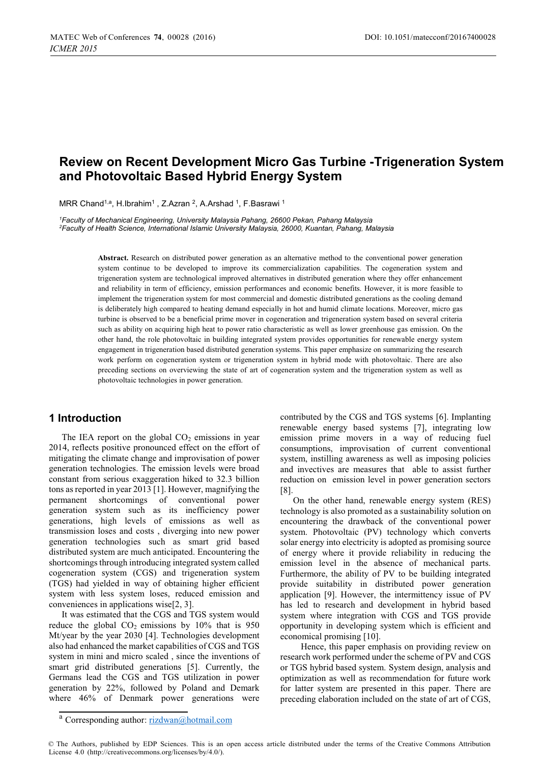# **Review on Recent Development Micro Gas Turbine -Trigeneration System and Photovoltaic Based Hybrid Energy System**

MRR Chand<sup>1,a</sup>, H.Ibrahim<sup>1</sup>, Z.Azran<sup>2</sup>, A.Arshad<sup>1</sup>, F.Basrawi<sup>1</sup>

<sup>1</sup> Faculty of Mechanical Engineering, University Malaysia Pahang, 26600 Pekan, Pahang Malaysia <sup>2</sup> Faculty of Health Science, International Islamic University Malaysia, 26000, Kuantan, Pahang, Malaysia

> **Abstract.** Research on distributed power generation as an alternative method to the conventional power generation system continue to be developed to improve its commercialization capabilities. The cogeneration system and trigeneration system are technological improved alternatives in distributed generation where they offer enhancement and reliability in term of efficiency, emission performances and economic benefits. However, it is more feasible to implement the trigeneration system for most commercial and domestic distributed generations as the cooling demand is deliberately high compared to heating demand especially in hot and humid climate locations. Moreover, micro gas turbine is observed to be a beneficial prime mover in cogeneration and trigeneration system based on several criteria such as ability on acquiring high heat to power ratio characteristic as well as lower greenhouse gas emission. On the other hand, the role photovoltaic in building integrated system provides opportunities for renewable energy system engagement in trigeneration based distributed generation systems. This paper emphasize on summarizing the research work perform on cogeneration system or trigeneration system in hybrid mode with photovoltaic. There are also preceding sections on overviewing the state of art of cogeneration system and the trigeneration system as well as photovoltaic technologies in power generation.

### **1 Introduction**

The IEA report on the global  $CO<sub>2</sub>$  emissions in year 2014, reflects positive pronounced effect on the effort of mitigating the climate change and improvisation of power generation technologies. The emission levels were broad constant from serious exaggeration hiked to 32.3 billion tons as reported in year 2013 [1]. However, magnifying the permanent shortcomings of conventional power generation system such as its inefficiency power generations, high levels of emissions as well as transmission loses and costs , diverging into new power generation technologies such as smart grid based distributed system are much anticipated. Encountering the shortcomings through introducing integrated system called cogeneration system (CGS) and trigeneration system (TGS) had yielded in way of obtaining higher efficient system with less system loses, reduced emission and conveniences in applications wise[2, 3].

It was estimated that the CGS and TGS system would reduce the global  $CO<sub>2</sub>$  emissions by 10% that is 950 Mt/year by the year 2030 [4]. Technologies development also had enhanced the market capabilities of CGS and TGS system in mini and micro scaled , since the inventions of smart grid distributed generations [5]. Currently, the Germans lead the CGS and TGS utilization in power generation by 22%, followed by Poland and Demark where 46% of Denmark power generations were

contributed by the CGS and TGS systems [6]. Implanting renewable energy based systems [7], integrating low emission prime movers in a way of reducing fuel consumptions, improvisation of current conventional system, instilling awareness as well as imposing policies and invectives are measures that able to assist further reduction on emission level in power generation sectors [8].

On the other hand, renewable energy system (RES) technology is also promoted as a sustainability solution on encountering the drawback of the conventional power system. Photovoltaic (PV) technology which converts solar energy into electricity is adopted as promising source of energy where it provide reliability in reducing the emission level in the absence of mechanical parts. Furthermore, the ability of PV to be building integrated provide suitability in distributed power generation application [9]. However, the intermittency issue of PV has led to research and development in hybrid based system where integration with CGS and TGS provide opportunity in developing system which is efficient and economical promising [10].

 Hence, this paper emphasis on providing review on research work performed under the scheme of PV and CGS or TGS hybrid based system. System design, analysis and optimization as well as recommendation for future work for latter system are presented in this paper. There are preceding elaboration included on the state of art of CGS,

<sup>&</sup>lt;sup>a</sup> Corresponding author:  $rizdwan@hotmail.com$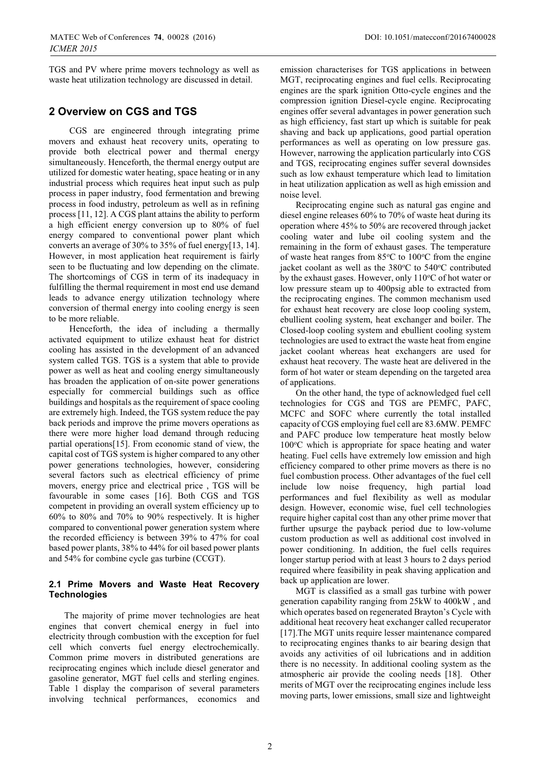TGS and PV where prime movers technology as well as waste heat utilization technology are discussed in detail.

## **2 Overview on CGS and TGS**

CGS are engineered through integrating prime movers and exhaust heat recovery units, operating to provide both electrical power and thermal energy simultaneously. Henceforth, the thermal energy output are utilized for domestic water heating, space heating or in any industrial process which requires heat input such as pulp process in paper industry, food fermentation and brewing process in food industry, petroleum as well as in refining process [11, 12]. A CGS plant attains the ability to perform a high efficient energy conversion up to 80% of fuel energy compared to conventional power plant which converts an average of 30% to 35% of fuel energy[13, 14]. However, in most application heat requirement is fairly seen to be fluctuating and low depending on the climate. The shortcomings of CGS in term of its inadequacy in fulfilling the thermal requirement in most end use demand leads to advance energy utilization technology where conversion of thermal energy into cooling energy is seen to be more reliable.

Henceforth, the idea of including a thermally activated equipment to utilize exhaust heat for district cooling has assisted in the development of an advanced system called TGS. TGS is a system that able to provide power as well as heat and cooling energy simultaneously has broaden the application of on-site power generations especially for commercial buildings such as office buildings and hospitals as the requirement of space cooling are extremely high. Indeed, the TGS system reduce the pay back periods and improve the prime movers operations as there were more higher load demand through reducing partial operations[15]. From economic stand of view, the capital cost of TGS system is higher compared to any other power generations technologies, however, considering several factors such as electrical efficiency of prime movers, energy price and electrical price , TGS will be favourable in some cases [16]. Both CGS and TGS competent in providing an overall system efficiency up to 60% to 80% and 70% to 90% respectively. It is higher compared to conventional power generation system where the recorded efficiency is between 39% to 47% for coal based power plants, 38% to 44% for oil based power plants and 54% for combine cycle gas turbine (CCGT).

### **2.1 Prime Movers and Waste Heat Recovery Technologies**

 The majority of prime mover technologies are heat engines that convert chemical energy in fuel into electricity through combustion with the exception for fuel cell which converts fuel energy electrochemically. Common prime movers in distributed generations are reciprocating engines which include diesel generator and gasoline generator, MGT fuel cells and sterling engines. Table 1 display the comparison of several parameters involving technical performances, economics and

emission characterises for TGS applications in between MGT, reciprocating engines and fuel cells. Reciprocating engines are the spark ignition Otto-cycle engines and the compression ignition Diesel-cycle engine. Reciprocating engines offer several advantages in power generation such as high efficiency, fast start up which is suitable for peak shaving and back up applications, good partial operation performances as well as operating on low pressure gas. However, narrowing the application particularly into CGS and TGS, reciprocating engines suffer several downsides such as low exhaust temperature which lead to limitation in heat utilization application as well as high emission and noise level.

 Reciprocating engine such as natural gas engine and diesel engine releases 60% to 70% of waste heat during its operation where 45% to 50% are recovered through jacket cooling water and lube oil cooling system and the remaining in the form of exhaust gases. The temperature of waste heat ranges from 85°C to 100°C from the engine jacket coolant as well as the 380°C to 540°C contributed by the exhaust gases. However, only 110°C of hot water or low pressure steam up to 400psig able to extracted from the reciprocating engines. The common mechanism used for exhaust heat recovery are close loop cooling system, ebullient cooling system, heat exchanger and boiler. The Closed-loop cooling system and ebullient cooling system technologies are used to extract the waste heat from engine jacket coolant whereas heat exchangers are used for exhaust heat recovery. The waste heat are delivered in the form of hot water or steam depending on the targeted area of applications.

 On the other hand, the type of acknowledged fuel cell technologies for CGS and TGS are PEMFC, PAFC, MCFC and SOFC where currently the total installed capacity of CGS employing fuel cell are 83.6MW. PEMFC and PAFC produce low temperature heat mostly below 100°C which is appropriate for space heating and water heating. Fuel cells have extremely low emission and high efficiency compared to other prime movers as there is no fuel combustion process. Other advantages of the fuel cell include low noise frequency, high partial load performances and fuel flexibility as well as modular design. However, economic wise, fuel cell technologies require higher capital cost than any other prime mover that further upsurge the payback period due to low-volume custom production as well as additional cost involved in power conditioning. In addition, the fuel cells requires longer startup period with at least 3 hours to 2 days period required where feasibility in peak shaving application and back up application are lower.

 MGT is classified as a small gas turbine with power generation capability ranging from 25kW to 400kW , and which operates based on regenerated Brayton's Cycle with additional heat recovery heat exchanger called recuperator [17].The MGT units require lesser maintenance compared to reciprocating engines thanks to air bearing design that avoids any activities of oil lubrications and in addition there is no necessity. In additional cooling system as the atmospheric air provide the cooling needs [18]. Other merits of MGT over the reciprocating engines include less moving parts, lower emissions, small size and lightweight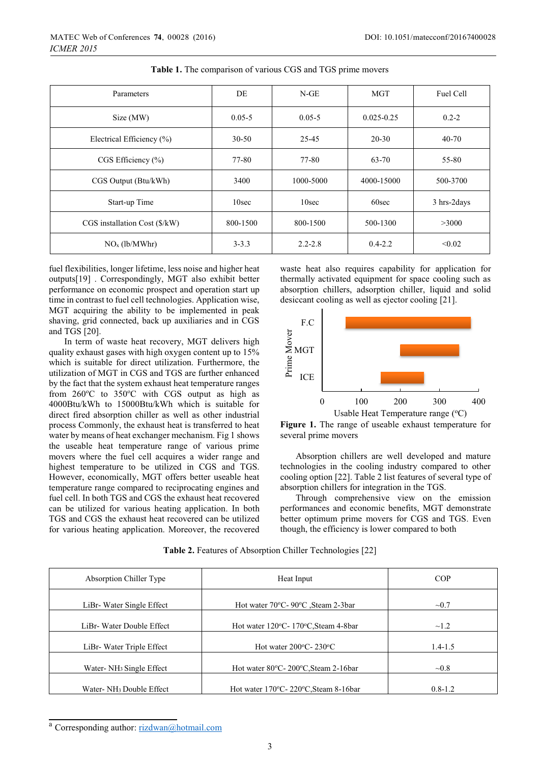| Parameters                                   | DE         | $N-GE$      | <b>MGT</b>     | Fuel Cell   |
|----------------------------------------------|------------|-------------|----------------|-------------|
| Size (MW)                                    | $0.05 - 5$ | $0.05 - 5$  | $0.025 - 0.25$ | $0.2 - 2$   |
| Electrical Efficiency $(\% )$                | $30 - 50$  | 25-45       | $20 - 30$      | $40 - 70$   |
| CGS Efficiency $(\% )$                       | 77-80      | 77-80       | $63 - 70$      | 55-80       |
| CGS Output (Btu/kWh)                         | 3400       | 1000-5000   | 4000-15000     | 500-3700    |
| Start-up Time                                | 10sec      | 10sec       | 60sec          | 3 hrs-2days |
| $CGS$ installation $Cost$ ( $\frac{S}{kW}$ ) | 800-1500   | 800-1500    | 500-1300       | >3000       |
| $NOx$ (lb/MWhr)                              | $3 - 3.3$  | $2.2 - 2.8$ | $0.4 - 2.2$    | < 0.02      |

**Table 1.** The comparison of various CGS and TGS prime movers

fuel flexibilities, longer lifetime, less noise and higher heat outputs[19] . Correspondingly, MGT also exhibit better performance on economic prospect and operation start up time in contrast to fuel cell technologies. Application wise, MGT acquiring the ability to be implemented in peak shaving, grid connected, back up auxiliaries and in CGS and TGS [20].

 In term of waste heat recovery, MGT delivers high quality exhaust gases with high oxygen content up to 15% which is suitable for direct utilization. Furthermore, the utilization of MGT in CGS and TGS are further enhanced by the fact that the system exhaust heat temperature ranges from 260°C to 350°C with CGS output as high as 4000Btu/kWh to 15000Btu/kWh which is suitable for direct fired absorption chiller as well as other industrial process Commonly, the exhaust heat is transferred to heat water by means of heat exchanger mechanism. Fig 1 shows the useable heat temperature range of various prime movers where the fuel cell acquires a wider range and highest temperature to be utilized in CGS and TGS. However, economically, MGT offers better useable heat temperature range compared to reciprocating engines and fuel cell. In both TGS and CGS the exhaust heat recovered can be utilized for various heating application. In both TGS and CGS the exhaust heat recovered can be utilized for various heating application. Moreover, the recovered waste heat also requires capability for application for thermally activated equipment for space cooling such as absorption chillers, adsorption chiller, liquid and solid desiccant cooling as well as ejector cooling [21].



**Figure 1.** The range of useable exhaust temperature for several prime movers several prime movers

 Absorption chillers are well developed and mature technologies in the cooling industry compared to other cooling option [22]. Table 2 list features of several type of absorption chillers for integration in the TGS.

 Through comprehensive view on the emission performances and economic benefits, MGT demonstrate better optimum prime movers for CGS and TGS. Even though, the efficiency is lower compared to both

| Absorption Chiller Type                                                      | Heat Input                                             | COP         |  |
|------------------------------------------------------------------------------|--------------------------------------------------------|-------------|--|
| LiBr-Water Single Effect                                                     | Hot water $70^{\circ}$ C- $90^{\circ}$ C. Steam 2-3bar | $\sim 0.7$  |  |
| LiBr-Water Double Effect                                                     | Hot water 120 °C - 170 °C, Steam 4-8bar                | $\sim$ 1.2  |  |
| LiBr-Water Triple Effect                                                     | Hot water $200^{\circ}$ C- $230^{\circ}$ C             | $1.4 - 1.5$ |  |
| Hot water 80°C- 200°C, Steam 2-16bar<br>Water- NH <sub>3</sub> Single Effect |                                                        | $\sim 0.8$  |  |
| Water- NH <sub>3</sub> Double Effect                                         | Hot water 170°C-220°C, Steam 8-16bar                   | $0.8 - 1.2$ |  |

**Table 2.** Features of Absorption Chiller Technologies [22]

a Corresponding author: rizdwan@hotmail.com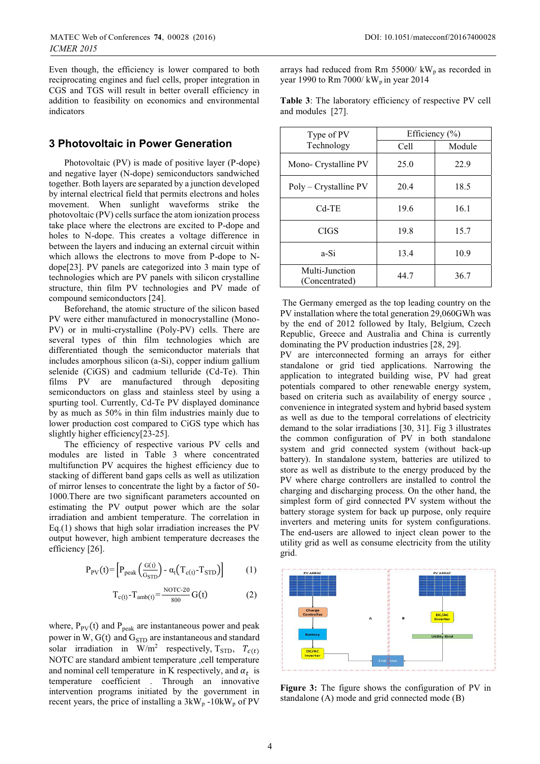Even though, the efficiency is lower compared to both reciprocating engines and fuel cells, proper integration in CGS and TGS will result in better overall efficiency in addition to feasibility on economics and environmental indicators

## **3 Photovoltaic in Power Generation**

 Photovoltaic (PV) is made of positive layer (P-dope) and negative layer (N-dope) semiconductors sandwiched together. Both layers are separated by a junction developed by internal electrical field that permits electrons and holes movement. When sunlight waveforms strike the photovoltaic (PV) cells surface the atom ionization process take place where the electrons are excited to P-dope and holes to N-dope. This creates a voltage difference in between the layers and inducing an external circuit within which allows the electrons to move from P-dope to Ndope[23]. PV panels are categorized into 3 main type of technologies which are PV panels with silicon crystalline structure, thin film PV technologies and PV made of compound semiconductors [24].

 Beforehand, the atomic structure of the silicon based PV were either manufactured in monocrystalline (Mono-PV) or in multi-crystalline (Poly-PV) cells. There are several types of thin film technologies which are differentiated though the semiconductor materials that includes amorphous silicon (a-Si), copper indium gallium selenide (CiGS) and cadmium telluride (Cd-Te). Thin films PV are manufactured through depositing semiconductors on glass and stainless steel by using a spurting tool. Currently, Cd-Te PV displayed dominance by as much as 50% in thin film industries mainly due to lower production cost compared to CiGS type which has slightly higher efficiency[23-25].

 The efficiency of respective various PV cells and modules are listed in Table 3 where concentrated multifunction PV acquires the highest efficiency due to stacking of different band gaps cells as well as utilization of mirror lenses to concentrate the light by a factor of 50- 1000.There are two significant parameters accounted on estimating the PV output power which are the solar irradiation and ambient temperature. The correlation in Eq.(1) shows that high solar irradiation increases the PV output however, high ambient temperature decreases the efficiency [26].

$$
P_{PV}(t) = \left[ P_{peak} \left( \frac{G(t)}{G_{STD}} \right) - \alpha_t \left( T_{c(t)} - T_{STD} \right) \right] \tag{1}
$$

$$
T_{c(t)} - T_{amb(t)} = \frac{NOTC - 20}{800} G(t)
$$
 (2)

where,  $P_{PV}(t)$  and  $P_{peak}$  are instantaneous power and peak power in W,  $G(t)$  and  $G<sub>STD</sub>$  are instantaneous and standard solar irradiation in  $W/m^2$  respectively,  $T_{STD}$ ,  $T_{c(t)}$ NOTC are standard ambient temperature ,cell temperature and nominal cell temperature in K respectively, and  $\alpha_t$  is temperature coefficient . Through an innovative intervention programs initiated by the government in recent years, the price of installing a  $3kW_p - 10kW_p$  of PV

arrays had reduced from Rm  $55000/$  kW<sub>p</sub> as recorded in year 1990 to Rm 7000/ kW<sub>p</sub> in year 2014

|                   |  | <b>Table 3:</b> The laboratory efficiency of respective PV cell |  |
|-------------------|--|-----------------------------------------------------------------|--|
| and modules [27]. |  |                                                                 |  |

| Type of PV                       | Efficiency $(\% )$ |        |  |
|----------------------------------|--------------------|--------|--|
| Technology                       | Cell               | Module |  |
| Mono-Crystalline PV              | 25.0               | 22.9   |  |
| $Poly - Crystalline PV$          | 20.4               | 18.5   |  |
| $Cd-TE$                          | 19.6               | 16.1   |  |
| <b>CIGS</b>                      | 19.8               | 15.7   |  |
| a-Si                             | 13.4               | 10.9   |  |
| Multi-Junction<br>(Concentrated) | 44.7               | 36.7   |  |

 The Germany emerged as the top leading country on the PV installation where the total generation 29,060GWh was by the end of 2012 followed by Italy, Belgium, Czech Republic, Greece and Australia and China is currently dominating the PV production industries [28, 29].

PV are interconnected forming an arrays for either standalone or grid tied applications. Narrowing the application to integrated building wise, PV had great potentials compared to other renewable energy system, based on criteria such as availability of energy source , convenience in integrated system and hybrid based system as well as due to the temporal correlations of electricity demand to the solar irradiations [30, 31]. Fig 3 illustrates the common configuration of PV in both standalone system and grid connected system (without back-up battery). In standalone system, batteries are utilized to store as well as distribute to the energy produced by the PV where charge controllers are installed to control the charging and discharging process. On the other hand, the simplest form of gird connected PV system without the battery storage system for back up purpose, only require inverters and metering units for system configurations. The end-users are allowed to inject clean power to the utility grid as well as consume electricity from the utility grid.



**Figure 3:** The figure shows the configuration of PV in standalone (A) mode and grid connected mode (B)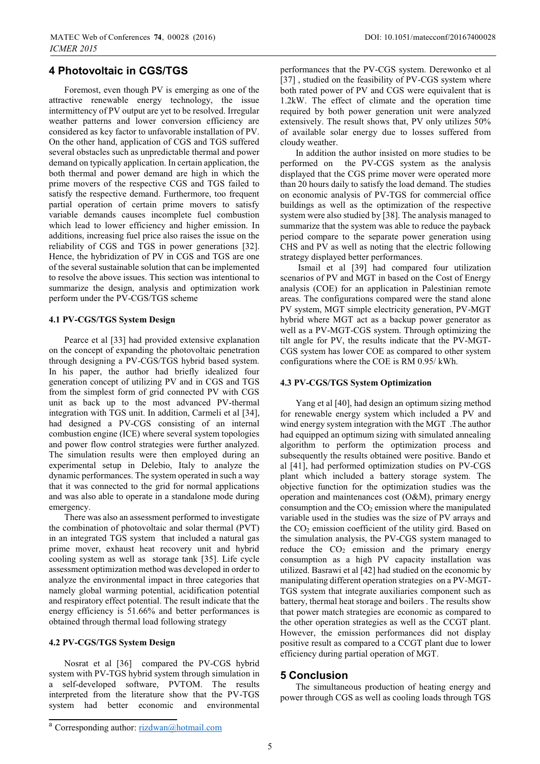## **4 Photovoltaic in CGS/TGS**

 Foremost, even though PV is emerging as one of the attractive renewable energy technology, the issue intermittency of PV output are yet to be resolved. Irregular weather patterns and lower conversion efficiency are considered as key factor to unfavorable installation of PV. On the other hand, application of CGS and TGS suffered several obstacles such as unpredictable thermal and power demand on typically application. In certain application, the both thermal and power demand are high in which the prime movers of the respective CGS and TGS failed to satisfy the respective demand. Furthermore, too frequent partial operation of certain prime movers to satisfy variable demands causes incomplete fuel combustion which lead to lower efficiency and higher emission. In additions, increasing fuel price also raises the issue on the reliability of CGS and TGS in power generations [32]. Hence, the hybridization of PV in CGS and TGS are one of the several sustainable solution that can be implemented to resolve the above issues. This section was intentional to summarize the design, analysis and optimization work perform under the PV-CGS/TGS scheme

#### **4.1 PV-CGS/TGS System Design**

Pearce et al [33] had provided extensive explanation on the concept of expanding the photovoltaic penetration through designing a PV-CGS/TGS hybrid based system. In his paper, the author had briefly idealized four generation concept of utilizing PV and in CGS and TGS from the simplest form of grid connected PV with CGS unit as back up to the most advanced PV-thermal integration with TGS unit. In addition, Carmeli et al [34], had designed a PV-CGS consisting of an internal combustion engine (ICE) where several system topologies and power flow control strategies were further analyzed. The simulation results were then employed during an experimental setup in Delebio, Italy to analyze the dynamic performances. The system operated in such a way that it was connected to the grid for normal applications and was also able to operate in a standalone mode during emergency.

 There was also an assessment performed to investigate the combination of photovoltaic and solar thermal (PVT) in an integrated TGS system that included a natural gas prime mover, exhaust heat recovery unit and hybrid cooling system as well as storage tank [35]. Life cycle assessment optimization method was developed in order to analyze the environmental impact in three categories that namely global warming potential, acidification potential and respiratory effect potential. The result indicate that the energy efficiency is 51.66% and better performances is obtained through thermal load following strategy

#### **4.2 PV-CGS/TGS System Design**

 Nosrat et al [36] compared the PV-CGS hybrid system with PV-TGS hybrid system through simulation in a self-developed software, PVTOM. The results interpreted from the literature show that the PV-TGS system had better economic and environmental

performances that the PV-CGS system. Derewonko et al [37], studied on the feasibility of PV-CGS system where both rated power of PV and CGS were equivalent that is 1.2kW. The effect of climate and the operation time required by both power generation unit were analyzed extensively. The result shows that, PV only utilizes 50% of available solar energy due to losses suffered from cloudy weather.

 In addition the author insisted on more studies to be performed on the PV-CGS system as the analysis displayed that the CGS prime mover were operated more than 20 hours daily to satisfy the load demand. The studies on economic analysis of PV-TGS for commercial office buildings as well as the optimization of the respective system were also studied by [38]. The analysis managed to summarize that the system was able to reduce the payback period compare to the separate power generation using CHS and PV as well as noting that the electric following strategy displayed better performances.

 Ismail et al [39] had compared four utilization scenarios of PV and MGT in based on the Cost of Energy analysis (COE) for an application in Palestinian remote areas. The configurations compared were the stand alone PV system, MGT simple electricity generation, PV-MGT hybrid where MGT act as a backup power generator as well as a PV-MGT-CGS system. Through optimizing the tilt angle for PV, the results indicate that the PV-MGT-CGS system has lower COE as compared to other system configurations where the COE is RM 0.95/ kWh.

#### **4.3 PV-CGS/TGS System Optimization**

 Yang et al [40], had design an optimum sizing method for renewable energy system which included a PV and wind energy system integration with the MGT .The author had equipped an optimum sizing with simulated annealing algorithm to perform the optimization process and subsequently the results obtained were positive. Bando et al [41], had performed optimization studies on PV-CGS plant which included a battery storage system. The objective function for the optimization studies was the operation and maintenances cost (O&M), primary energy consumption and the  $CO<sub>2</sub>$  emission where the manipulated variable used in the studies was the size of PV arrays and the  $CO<sub>2</sub>$  emission coefficient of the utility gird. Based on the simulation analysis, the PV-CGS system managed to reduce the  $CO<sub>2</sub>$  emission and the primary energy consumption as a high PV capacity installation was utilized. Basrawi et al [42] had studied on the economic by manipulating different operation strategies on a PV-MGT-TGS system that integrate auxiliaries component such as battery, thermal heat storage and boilers . The results show that power match strategies are economic as compared to the other operation strategies as well as the CCGT plant. However, the emission performances did not display positive result as compared to a CCGT plant due to lower efficiency during partial operation of MGT.

### **5 Conclusion**

 The simultaneous production of heating energy and power through CGS as well as cooling loads through TGS

 $a$  Corresponding author:  $rizdwan@hotmail.com$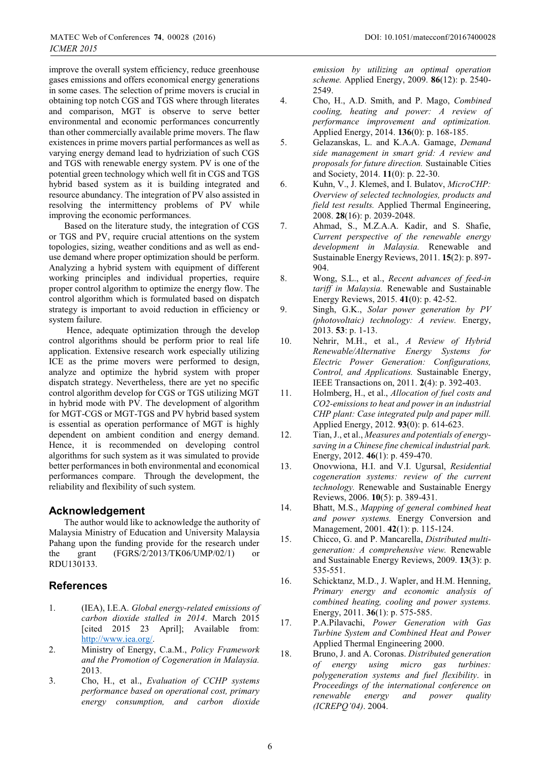improve the overall system efficiency, reduce greenhouse gases emissions and offers economical energy generations in some cases. The selection of prime movers is crucial in obtaining top notch CGS and TGS where through literates and comparison, MGT is observe to serve better environmental and economic performances concurrently than other commercially available prime movers. The flaw existences in prime movers partial performances as well as varying energy demand lead to hydriziation of such CGS and TGS with renewable energy system. PV is one of the potential green technology which well fit in CGS and TGS hybrid based system as it is building integrated and resource abundancy. The integration of PV also assisted in resolving the intermittency problems of PV while improving the economic performances.

 Based on the literature study, the integration of CGS or TGS and PV, require crucial attentions on the system topologies, sizing, weather conditions and as well as enduse demand where proper optimization should be perform. Analyzing a hybrid system with equipment of different working principles and individual properties, require proper control algorithm to optimize the energy flow. The control algorithm which is formulated based on dispatch strategy is important to avoid reduction in efficiency or system failure.

 Hence, adequate optimization through the develop control algorithms should be perform prior to real life application. Extensive research work especially utilizing ICE as the prime movers were performed to design, analyze and optimize the hybrid system with proper dispatch strategy. Nevertheless, there are yet no specific control algorithm develop for CGS or TGS utilizing MGT in hybrid mode with PV. The development of algorithm for MGT-CGS or MGT-TGS and PV hybrid based system is essential as operation performance of MGT is highly dependent on ambient condition and energy demand. Hence, it is recommended on developing control algorithms for such system as it was simulated to provide better performances in both environmental and economical performances compare. Through the development, the reliability and flexibility of such system.

### **Acknowledgement**

The author would like to acknowledge the authority of Malaysia Ministry of Education and University Malaysia Pahang upon the funding provide for the research under<br>the grant (FGRS/2/2013/TK06/UMP/02/1) or the grant (FGRS/2/2013/TK06/UMP/02/1) or RDU130133.

## **References**

- 1. (IEA), I.E.A. *Global energy-related emissions of carbon dioxide stalled in 2014*. March 2015 [cited 2015 23 April]; Available from: http://www.iea.org/.
- 2. Ministry of Energy, C.a.M., *Policy Framework and the Promotion of Cogeneration in Malaysia.* 2013.
- 3. Cho, H., et al., *Evaluation of CCHP systems performance based on operational cost, primary energy consumption, and carbon dioxide*

*emission by utilizing an optimal operation scheme.* Applied Energy, 2009. **86**(12): p. 2540- 2549.

- 4. Cho, H., A.D. Smith, and P. Mago, *Combined cooling, heating and power: A review of performance improvement and optimization.* Applied Energy, 2014. **136**(0): p. 168-185.
- 5. Gelazanskas, L. and K.A.A. Gamage, *Demand side management in smart grid: A review and proposals for future direction.* Sustainable Cities and Society, 2014. **11**(0): p. 22-30.
- 6. Kuhn, V., J. Klemeš, and I. Bulatov, *MicroCHP: Overview of selected technologies, products and field test results.* Applied Thermal Engineering, 2008. **28**(16): p. 2039-2048.
- 7. Ahmad, S., M.Z.A.A. Kadir, and S. Shafie, *Current perspective of the renewable energy development in Malaysia.* Renewable and Sustainable Energy Reviews, 2011. **15**(2): p. 897- 904.
- 8. Wong, S.L., et al., *Recent advances of feed-in tariff in Malaysia.* Renewable and Sustainable Energy Reviews, 2015. **41**(0): p. 42-52.
- 9. Singh, G.K., *Solar power generation by PV (photovoltaic) technology: A review.* Energy, 2013. **53**: p. 1-13.
- 10. Nehrir, M.H., et al., *A Review of Hybrid Renewable/Alternative Energy Systems for Electric Power Generation: Configurations, Control, and Applications.* Sustainable Energy, IEEE Transactions on, 2011. **2**(4): p. 392-403.
- 11. Holmberg, H., et al., *Allocation of fuel costs and CO2-emissions to heat and power in an industrial CHP plant: Case integrated pulp and paper mill.* Applied Energy, 2012. **93**(0): p. 614-623.
- 12. Tian, J., et al., *Measures and potentials of energysaving in a Chinese fine chemical industrial park.* Energy, 2012. **46**(1): p. 459-470.
- 13. Onovwiona, H.I. and V.I. Ugursal, *Residential cogeneration systems: review of the current technology.* Renewable and Sustainable Energy Reviews, 2006. **10**(5): p. 389-431.
- 14. Bhatt, M.S., *Mapping of general combined heat and power systems.* Energy Conversion and Management, 2001. **42**(1): p. 115-124.
- 15. Chicco, G. and P. Mancarella, *Distributed multigeneration: A comprehensive view.* Renewable and Sustainable Energy Reviews, 2009. **13**(3): p. 535-551.
- 16. Schicktanz, M.D., J. Wapler, and H.M. Henning, *Primary energy and economic analysis of combined heating, cooling and power systems.* Energy, 2011. **36**(1): p. 575-585.
- 17. P.A.Pilavachi, *Power Generation with Gas Turbine System and Combined Heat and Power*  Applied Thermal Engineering 2000.
- 18. Bruno, J. and A. Coronas. *Distributed generation of energy using micro gas turbines: polygeneration systems and fuel flexibility*. in *Proceedings of the international conference on renewable energy and power quality (ICREPQ'04)*. 2004.